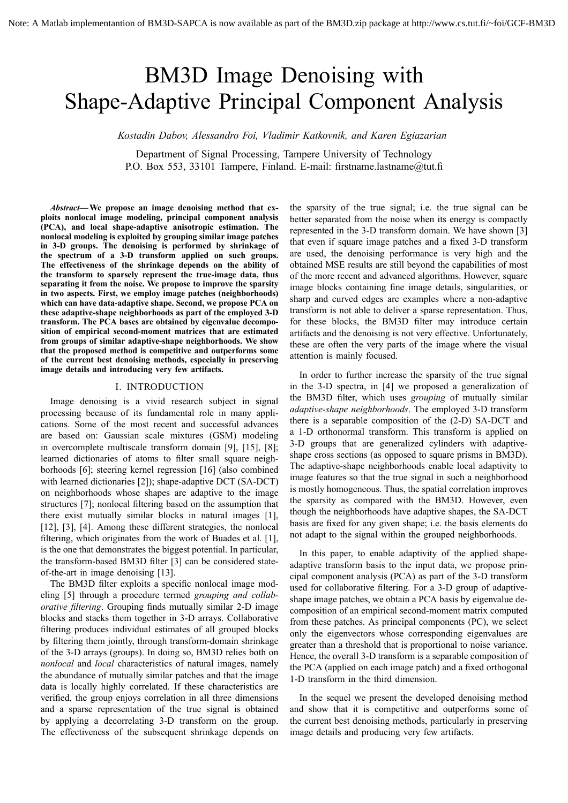# BM3D Image Denoising with Shape-Adaptive Principal Component Analysis

*Kostadin Dabov, Alessandro Foi, Vladimir Katkovnik, and Karen Egiazarian*

Department of Signal Processing, Tampere University of Technology P.O. Box 553, 33101 Tampere, Finland. E-mail: firstname.lastname@tut.fi

Abstract—We propose an image denoising method that ex**ploits nonlocal image modeling, principal component analysis (PCA), and local shape-adaptive anisotropic estimation. The nonlocal modeling is exploited by grouping similar image patches in 3-D groups. The denoising is performed by shrinkage of the spectrum of a 3-D transform applied on such groups. The effectiveness of the shrinkage depends on the ability of the transform to sparsely represent the true-image data, thus separating it from the noise. We propose to improve the sparsity in two aspects. First, we employ image patches (neighborhoods) which can have data-adaptive shape. Second, we propose PCA on these adaptive-shape neighborhoods as part of the employed 3-D transform. The PCA bases are obtained by eigenvalue decomposition of empirical second-moment matrices that are estimated from groups of similar adaptive-shape neighborhoods. We show that the proposed method is competitive and outperforms some of the current best denoising methods, especially in preserving image details and introducing very few artifacts.**

## I. INTRODUCTION

Image denoising is a vivid research subject in signal processing because of its fundamental role in many applications. Some of the most recent and successful advances are based on: Gaussian scale mixtures (GSM) modeling in overcomplete multiscale transform domain [9], [15], [8]; learned dictionaries of atoms to filter small square neighborhoods [6]; steering kernel regression [16] (also combined with learned dictionaries [2]); shape-adaptive DCT (SA-DCT) on neighborhoods whose shapes are adaptive to the image structures [7]; nonlocal filtering based on the assumption that there exist mutually similar blocks in natural images [1], [12], [3], [4]. Among these different strategies, the nonlocal filtering, which originates from the work of Buades et al. [1], is the one that demonstrates the biggest potential. In particular, the transform-based BM3D filter [3] can be considered stateof-the-art in image denoising [13].

The BM3D filter exploits a specific nonlocal image modeling [5] through a procedure termed *grouping and collaborative filtering*. Grouping finds mutually similar 2-D image blocks and stacks them together in 3-D arrays. Collaborative filtering produces individual estimates of all grouped blocks by filtering them jointly, through transform-domain shrinkage of the 3-D arrays (groups). In doing so, BM3D relies both on *nonlocal* and *local* characteristics of natural images, namely the abundance of mutually similar patches and that the image data is locally highly correlated. If these characteristics are verified, the group enjoys correlation in all three dimensions and a sparse representation of the true signal is obtained by applying a decorrelating 3-D transform on the group. The effectiveness of the subsequent shrinkage depends on

the sparsity of the true signal; i.e. the true signal can be better separated from the noise when its energy is compactly represented in the 3-D transform domain. We have shown [3] that even if square image patches and a fixed 3-D transform are used, the denoising performance is very high and the obtained MSE results are still beyond the capabilities of most of the more recent and advanced algorithms. However, square image blocks containing fine image details, singularities, or sharp and curved edges are examples where a non-adaptive transform is not able to deliver a sparse representation. Thus, for these blocks, the BM3D filter may introduce certain artifacts and the denoising is not very effective. Unfortunately, these are often the very parts of the image where the visual attention is mainly focused.

In order to further increase the sparsity of the true signal in the 3-D spectra, in [4] we proposed a generalization of the BM3D filter, which uses *grouping* of mutually similar *adaptive-shape neighborhoods*. The employed 3-D transform there is a separable composition of the (2-D) SA-DCT and a 1-D orthonormal transform. This transform is applied on 3-D groups that are generalized cylinders with adaptiveshape cross sections (as opposed to square prisms in BM3D). The adaptive-shape neighborhoods enable local adaptivity to image features so that the true signal in such a neighborhood is mostly homogeneous. Thus, the spatial correlation improves the sparsity as compared with the BM3D. However, even though the neighborhoods have adaptive shapes, the SA-DCT basis are fixed for any given shape; i.e. the basis elements do not adapt to the signal within the grouped neighborhoods.

In this paper, to enable adaptivity of the applied shapeadaptive transform basis to the input data, we propose principal component analysis (PCA) as part of the 3-D transform used for collaborative filtering. For a 3-D group of adaptiveshape image patches, we obtain a PCA basis by eigenvalue decomposition of an empirical second-moment matrix computed from these patches. As principal components (PC), we select only the eigenvectors whose corresponding eigenvalues are greater than a threshold that is proportional to noise variance. Hence, the overall 3-D transform is a separable composition of the PCA (applied on each image patch) and a fixed orthogonal 1-D transform in the third dimension.

In the sequel we present the developed denoising method and show that it is competitive and outperforms some of the current best denoising methods, particularly in preserving image details and producing very few artifacts.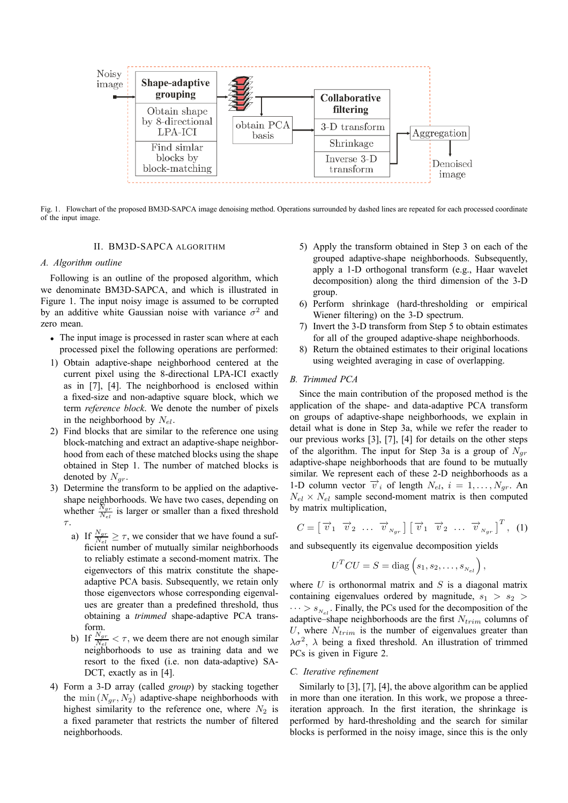

Fig. 1. Flowchart of the proposed BM3D-SAPCA image denoising method. Operations surrounded by dashed lines are repeated for each processed coordinate of the input image.

# II. BM3D-SAPCA ALGORITHM

# *A. Algorithm outline*

Following is an outline of the proposed algorithm, which we denominate BM3D-SAPCA, and which is illustrated in Figure 1. The input noisy image is assumed to be corrupted by an additive white Gaussian noise with variance  $\sigma^2$  and zero mean.

- The input image is processed in raster scan where at each processed pixel the following operations are performed:
- 1) Obtain adaptive-shape neighborhood centered at the current pixel using the 8-directional LPA-ICI exactly as in [7], [4]. The neighborhood is enclosed within a fixed-size and non-adaptive square block, which we term *reference block*. We denote the number of pixels in the neighborhood by  $N_{el}$ .
- 2) Find blocks that are similar to the reference one using block-matching and extract an adaptive-shape neighborhood from each of these matched blocks using the shape obtained in Step 1. The number of matched blocks is denoted by  $N_{qr}$ .
- 3) Determine the transform to be applied on the adaptiveshape neighborhoods. We have two cases, depending on whether  $\frac{N_{gr}}{N_{el}}$  is larger or smaller than a fixed threshold τ.
	- a) If  $\frac{N_{gr}}{N_{el}} \ge \tau$ , we consider that we have found a sufficient number of mutually similar neighborhoods to reliably estimate a second-moment matrix. The eigenvectors of this matrix constitute the shapeadaptive PCA basis. Subsequently, we retain only those eigenvectors whose corresponding eigenvalues are greater than a predefined threshold, thus obtaining a *trimmed* shape-adaptive PCA transform.
	- b) If  $\frac{N_{gr}}{N_{gl}} < \tau$ , we deem there are not enough similar neighborhoods to use as training data and we resort to the fixed (i.e. non data-adaptive) SA-DCT, exactly as in [4].
- 4) Form a 3-D array (called *group*) by stacking together the min  $(N_{gr}, N_2)$  adaptive-shape neighborhoods with highest similarity to the reference one, where  $N_2$  is a fixed parameter that restricts the number of filtered neighborhoods.
- 5) Apply the transform obtained in Step 3 on each of the grouped adaptive-shape neighborhoods. Subsequently, apply a 1-D orthogonal transform (e.g., Haar wavelet decomposition) along the third dimension of the 3-D group.
- 6) Perform shrinkage (hard-thresholding or empirical Wiener filtering) on the 3-D spectrum.
- 7) Invert the 3-D transform from Step 5 to obtain estimates for all of the grouped adaptive-shape neighborhoods.
- 8) Return the obtained estimates to their original locations using weighted averaging in case of overlapping.

# *B. Trimmed PCA*

Since the main contribution of the proposed method is the application of the shape- and data-adaptive PCA transform on groups of adaptive-shape neighborhoods, we explain in detail what is done in Step 3a, while we refer the reader to our previous works [3], [7], [4] for details on the other steps of the algorithm. The input for Step 3a is a group of  $N_{qr}$ adaptive-shape neighborhoods that are found to be mutually similar. We represent each of these 2-D neighborhoods as a 1-D column vector  $\vec{v}_i$  of length  $N_{el}$ ,  $i = 1, \ldots, N_{qr}$ . An  $N_{el} \times N_{el}$  sample second-moment matrix is then computed by matrix multiplication,

$$
C = \begin{bmatrix} \overrightarrow{v}_1 & \overrightarrow{v}_2 & \dots & \overrightarrow{v}_{Ngr} \end{bmatrix} \begin{bmatrix} \overrightarrow{v}_1 & \overrightarrow{v}_2 & \dots & \overrightarrow{v}_{Ngr} \end{bmatrix}^T, (1)
$$

and subsequently its eigenvalue decomposition yields

$$
UTCU = S = diag (s1, s2,...,snel),
$$

where  $U$  is orthonormal matrix and  $S$  is a diagonal matrix containing eigenvalues ordered by magnitude,  $s_1 > s_2$  $\cdots > s_{N-1}$ . Finally, the PCs used for the decomposition of the adaptive–shape neighborhoods are the first  $N_{trim}$  columns of U, where  $N_{trim}$  is the number of eigenvalues greater than  $\lambda \sigma^2$ ,  $\lambda$  being a fixed threshold. An illustration of trimmed PCs is given in Figure 2.

# *C. Iterative refinement*

Similarly to [3], [7], [4], the above algorithm can be applied in more than one iteration. In this work, we propose a threeiteration approach. In the first iteration, the shrinkage is performed by hard-thresholding and the search for similar blocks is performed in the noisy image, since this is the only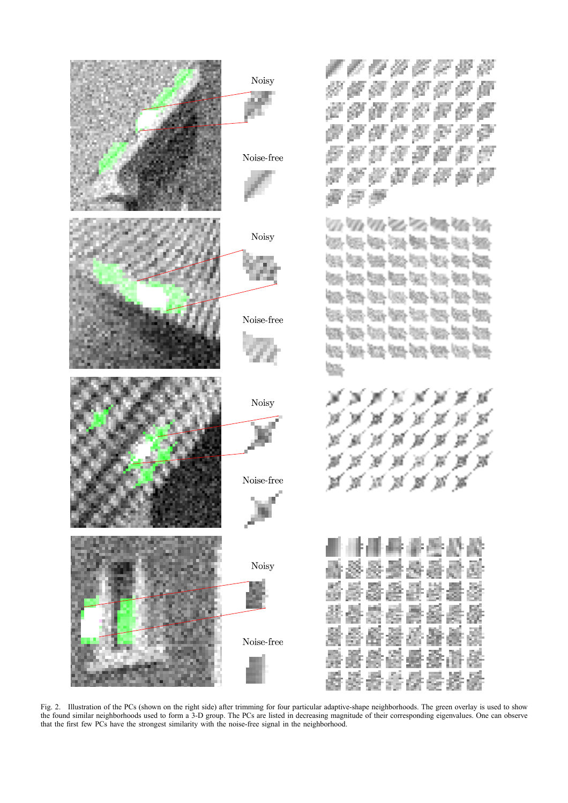

Fig. 2. Illustration of the PCs (shown on the right side) after trimming for four particular adaptive-shape neighborhoods. The green overlay is used to show the found similar neighborhoods used to form a 3-D group. The PCs are listed in decreasing magnitude of their corresponding eigenvalues. One can observe that the first few PCs have the strongest similarity with the noise-free signal in the neighborhood.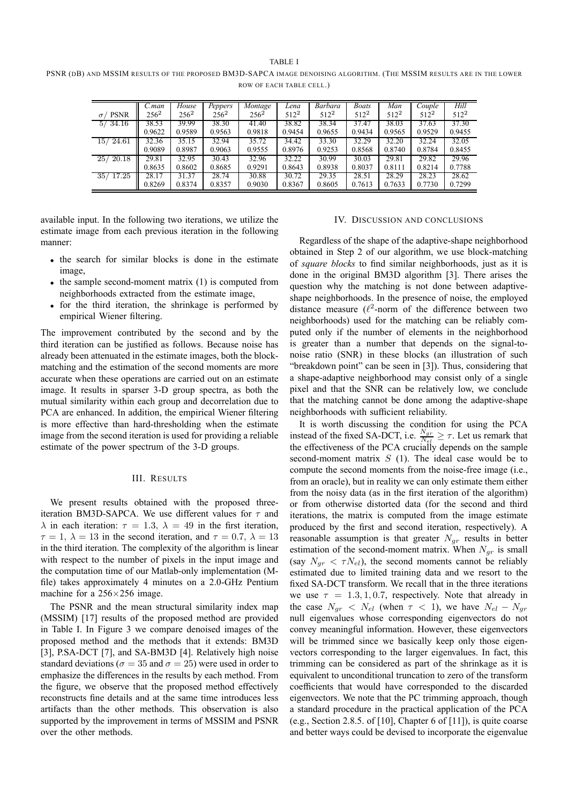TARI **F** I

PSNR (DB) AND MSSIM RESULTS OF THE PROPOSED BM3D-SAPCA IMAGE DENOISING ALGORITHM. (THE MSSIM RESULTS ARE IN THE LOWER ROW OF EACH TABLE CELL.)

|                         |         |         |         |         |                  |                  |                  |                  |                  | Hill             |
|-------------------------|---------|---------|---------|---------|------------------|------------------|------------------|------------------|------------------|------------------|
|                         | C.man   | House   | Peppers | Montage | Lena             | Barbara          | <b>Boats</b>     | Man              | Couple           |                  |
| <b>PSNR</b><br>$\sigma$ | $256^2$ | $256^2$ | $256^2$ | $256^2$ | 512 <sup>2</sup> | 512 <sup>2</sup> | 512 <sup>2</sup> | 512 <sup>2</sup> | 512 <sup>2</sup> | 512 <sup>2</sup> |
| 5/34.16                 | 38.53   | 39.99   | 38.30   | 41.40   | 38.82            | 38.34            | 37.47            | 38.03            | 37.63            | 37.30            |
|                         | 0.9622  | 0.9589  | 0.9563  | 0.9818  | 0.9454           | 0.9655           | 0.9434           | 0.9565           | 0.9529           | 0.9455           |
| 15/24.61                | 32.36   | 35.15   | 32.94   | 35.72   | 34.42            | 33.30            | 32.29            | 32.20            | 32.24            | 32.05            |
|                         | 0.9089  | 0.8987  | 0.9063  | 0.9555  | 0.8976           | 0.9253           | 0.8568           | 0.8740           | 0.8784           | 0.8455           |
| 25/20.18                | 29.81   | 32.95   | 30.43   | 32.96   | 32.22            | 30.99            | 30.03            | 29.81            | 29.82            | 29.96            |
|                         | 0.8635  | 0.8602  | 0.8685  | 0.9291  | 0.8643           | 0.8938           | 0.8037           | 0.8111           | 0.8214           | 0.7788           |
| 35/17.25                | 28.17   | 31.37   | 28.74   | 30.88   | 30.72            | 29.35            | 28.51            | 28.29            | 28.23            | 28.62            |
|                         | 0.8269  | 0.8374  | 0.8357  | 0.9030  | 0.8367           | 0.8605           | 0.7613           | 0.7633           | 0.7730           | 0.7299           |

available input. In the following two iterations, we utilize the estimate image from each previous iteration in the following manner:

- the search for similar blocks is done in the estimate image,
- $\bullet$  the sample second-moment matrix (1) is computed from neighborhoods extracted from the estimate image,
- for the third iteration, the shrinkage is performed by empirical Wiener filtering.

The improvement contributed by the second and by the third iteration can be justified as follows. Because noise has already been attenuated in the estimate images, both the blockmatching and the estimation of the second moments are more accurate when these operations are carried out on an estimate image. It results in sparser 3-D group spectra, as both the mutual similarity within each group and decorrelation due to PCA are enhanced. In addition, the empirical Wiener filtering is more effective than hard-thresholding when the estimate image from the second iteration is used for providing a reliable estimate of the power spectrum of the 3-D groups.

## III. RESULTS

We present results obtained with the proposed threeiteration BM3D-SAPCA. We use different values for  $\tau$  and  $\lambda$  in each iteration:  $\tau = 1.3$ ,  $\lambda = 49$  in the first iteration,  $\tau = 1$ ,  $\lambda = 13$  in the second iteration, and  $\tau = 0.7$ ,  $\lambda = 13$ in the third iteration. The complexity of the algorithm is linear with respect to the number of pixels in the input image and the computation time of our Matlab-only implementation (Mfile) takes approximately 4 minutes on a 2.0-GHz Pentium machine for a  $256\times256$  image.

The PSNR and the mean structural similarity index map (MSSIM) [17] results of the proposed method are provided in Table I. In Figure 3 we compare denoised images of the proposed method and the methods that it extends: BM3D [3], P.SA-DCT [7], and SA-BM3D [4]. Relatively high noise standard deviations ( $\sigma = 35$  and  $\sigma = 25$ ) were used in order to emphasize the differences in the results by each method. From the figure, we observe that the proposed method effectively reconstructs fine details and at the same time introduces less artifacts than the other methods. This observation is also supported by the improvement in terms of MSSIM and PSNR over the other methods.

#### IV. DISCUSSION AND CONCLUSIONS

Regardless of the shape of the adaptive-shape neighborhood obtained in Step 2 of our algorithm, we use block-matching of *square blocks* to find similar neighborhoods, just as it is done in the original BM3D algorithm [3]. There arises the question why the matching is not done between adaptiveshape neighborhoods. In the presence of noise, the employed distance measure  $(\ell^2$ -norm of the difference between two neighborhoods) used for the matching can be reliably computed only if the number of elements in the neighborhood is greater than a number that depends on the signal-tonoise ratio (SNR) in these blocks (an illustration of such "breakdown point" can be seen in  $[3]$ ). Thus, considering that a shape-adaptive neighborhood may consist only of a single pixel and that the SNR can be relatively low, we conclude that the matching cannot be done among the adaptive-shape neighborhoods with sufficient reliability.

It is worth discussing the condition for using the PCA instead of the fixed SA-DCT, i.e.  $\frac{N_{gr}}{N_{gl}} \geq \tau$ . Let us remark that the effectiveness of the PCA crucially depends on the sample second-moment matrix  $S(1)$ . The ideal case would be to compute the second moments from the noise-free image (i.e., from an oracle), but in reality we can only estimate them either from the noisy data (as in the first iteration of the algorithm) or from otherwise distorted data (for the second and third iterations, the matrix is computed from the image estimate produced by the first and second iteration, respectively). A reasonable assumption is that greater  $N_{ar}$  results in better estimation of the second-moment matrix. When  $N_{gr}$  is small (say  $N_{ar} < \tau N_{el}$ ), the second moments cannot be reliably estimated due to limited training data and we resort to the fixed SA-DCT transform. We recall that in the three iterations we use  $\tau = 1.3, 1, 0.7$ , respectively. Note that already in the case  $N_{qr} < N_{el}$  (when  $\tau < 1$ ), we have  $N_{el} - N_{qr}$ null eigenvalues whose corresponding eigenvectors do not convey meaningful information. However, these eigenvectors will be trimmed since we basically keep only those eigenvectors corresponding to the larger eigenvalues. In fact, this trimming can be considered as part of the shrinkage as it is equivalent to unconditional truncation to zero of the transform coefficients that would have corresponded to the discarded eigenvectors. We note that the PC trimming approach, though a standard procedure in the practical application of the PCA (e.g., Section 2.8.5. of [10], Chapter 6 of [11]), is quite coarse and better ways could be devised to incorporate the eigenvalue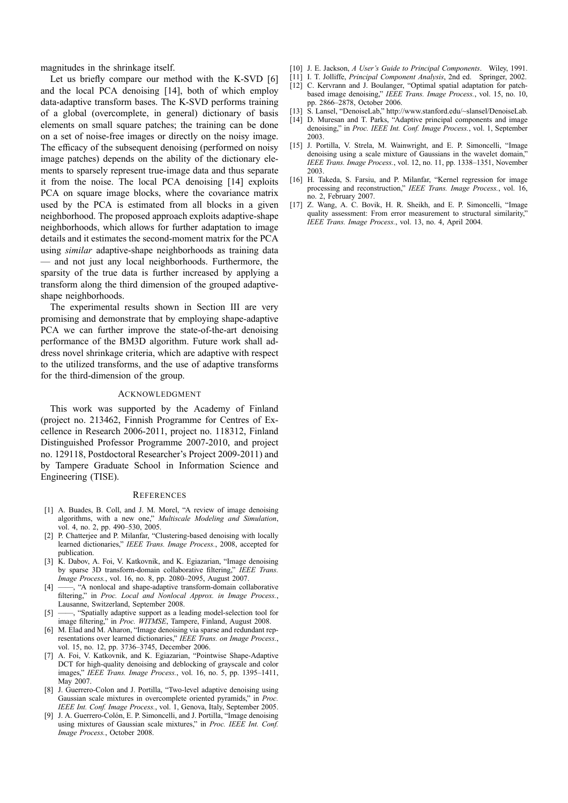magnitudes in the shrinkage itself.

Let us briefly compare our method with the K-SVD [6] and the local PCA denoising [14], both of which employ data-adaptive transform bases. The K-SVD performs training of a global (overcomplete, in general) dictionary of basis elements on small square patches; the training can be done on a set of noise-free images or directly on the noisy image. The efficacy of the subsequent denoising (performed on noisy image patches) depends on the ability of the dictionary elements to sparsely represent true-image data and thus separate it from the noise. The local PCA denoising [14] exploits PCA on square image blocks, where the covariance matrix used by the PCA is estimated from all blocks in a given neighborhood. The proposed approach exploits adaptive-shape neighborhoods, which allows for further adaptation to image details and it estimates the second-moment matrix for the PCA using *similar* adaptive-shape neighborhoods as training data  $-$  and not just any local neighborhoods. Furthermore, the sparsity of the true data is further increased by applying a transform along the third dimension of the grouped adaptiveshape neighborhoods.

The experimental results shown in Section III are very promising and demonstrate that by employing shape-adaptive PCA we can further improve the state-of-the-art denoising performance of the BM3D algorithm. Future work shall address novel shrinkage criteria, which are adaptive with respect to the utilized transforms, and the use of adaptive transforms for the third-dimension of the group.

## ACKNOWLEDGMENT

This work was supported by the Academy of Finland (project no. 213462, Finnish Programme for Centres of Excellence in Research 2006-2011, project no. 118312, Finland Distinguished Professor Programme 2007-2010, and project no. 129118, Postdoctoral Researcher's Project 2009-2011) and by Tampere Graduate School in Information Science and Engineering (TISE).

## **REFERENCES**

- [1] A. Buades, B. Coll, and J. M. Morel, "A review of image denoising algorithms, with a new one," *Multiscale Modeling and Simulation*, vol. 4, no. 2, pp. 490-530, 2005.
- [2] P. Chatterjee and P. Milanfar, "Clustering-based denoising with locally learned dictionaries," IEEE Trans. Image Process., 2008, accepted for publication.
- K. Dabov, A. Foi, V. Katkovnik, and K. Egiazarian, "Image denoising by sparse 3D transform-domain collaborative filtering," *IEEE Trans. Image Process.*, vol. 16, no. 8, pp. 2080–2095, August 2007.
- -, "A nonlocal and shape-adaptive transform-domain collaborative filtering," in *Proc. Local and Nonlocal Approx. in Image Process.*, Lausanne, Switzerland, September 2008.
- [5]  $\frac{1}{\sqrt{5}}$  (Spatially adaptive support as a leading model-selection tool for image filtering," in *Proc. WITMSE*, Tampere, Finland, August 2008.
- [6] M. Elad and M. Aharon, "Image denoising via sparse and redundant representations over learned dictionaries," IEEE Trans. on Image Process., vol. 15, no. 12, pp. 3736-3745, December 2006.
- [7] A. Foi, V. Katkovnik, and K. Egiazarian, "Pointwise Shape-Adaptive DCT for high-quality denoising and deblocking of grayscale and color images," IEEE Trans. Image Process., vol. 16, no. 5, pp. 1395-1411, May 2007.
- J. Guerrero-Colon and J. Portilla, "Two-level adaptive denoising using Gaussian scale mixtures in overcomplete oriented pyramids," in *Proc. IEEE Int. Conf. Image Process.*, vol. 1, Genova, Italy, September 2005.
- [9] J. A. Guerrero-Colón, E. P. Simoncelli, and J. Portilla, "Image denoising using mixtures of Gaussian scale mixtures," in *Proc. IEEE Int. Conf. Image Process.*, October 2008.
- [10] J. E. Jackson, *A User's Guide to Principal Components*. Wiley, 1991.
- [11] I. T. Jolliffe, *Principal Component Analysis*, 2nd ed. Springer, 2002.
- [12] C. Kervrann and J. Boulanger, "Optimal spatial adaptation for patchbased image denoising," *IEEE Trans. Image Process.*, vol. 15, no. 10, pp. 2866-2878, October 2006.
- [13] S. Lansel, "DenoiseLab," http://www.stanford.edu/~slansel/DenoiseLab.
- [14] D. Muresan and T. Parks, "Adaptive principal components and image denoising," in *Proc. IEEE Int. Conf. Image Process.*, vol. 1, September 2003.
- [15] J. Portilla, V. Strela, M. Wainwright, and E. P. Simoncelli, "Image denoising using a scale mixture of Gaussians in the wavelet domain, *IEEE Trans. Image Process.*, vol. 12, no. 11, pp. 1338-1351, November 2003.
- [16] H. Takeda, S. Farsiu, and P. Milanfar, "Kernel regression for image processing and reconstruction," IEEE Trans. Image Process., vol. 16, no. 2, February 2007.
- [17] Z. Wang, A. C. Bovik, H. R. Sheikh, and E. P. Simoncelli, "Image quality assessment: From error measurement to structural similarity, *IEEE Trans. Image Process.*, vol. 13, no. 4, April 2004.